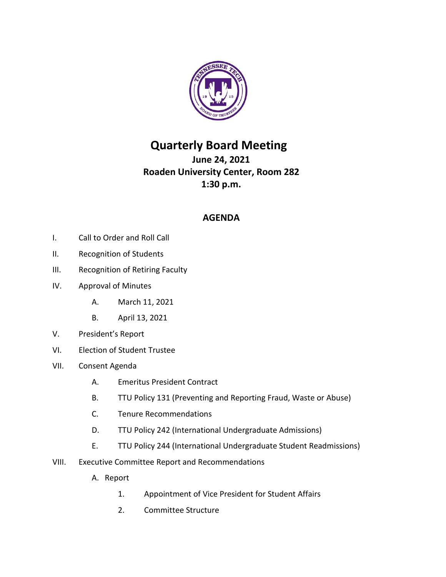

## **Quarterly Board Meeting**

**June 24, 2021 Roaden University Center, Room 282 1:30 p.m.**

## **AGENDA**

- I. Call to Order and Roll Call
- II. Recognition of Students
- III. Recognition of Retiring Faculty
- IV. Approval of Minutes
	- A. March 11, 2021
	- B. April 13, 2021
- V. President's Report
- VI. Election of Student Trustee
- VII. Consent Agenda
	- A. Emeritus President Contract
	- B. TTU Policy 131 (Preventing and Reporting Fraud, Waste or Abuse)
	- C. Tenure Recommendations
	- D. TTU Policy 242 (International Undergraduate Admissions)
	- E. TTU Policy 244 (International Undergraduate Student Readmissions)
- VIII. Executive Committee Report and Recommendations
	- A. Report
		- 1. Appointment of Vice President for Student Affairs
		- 2. Committee Structure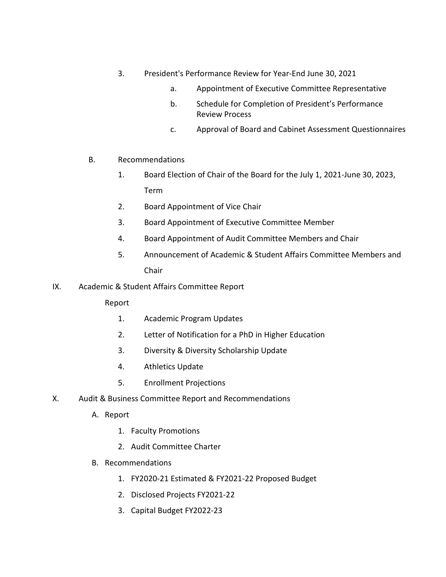- 3. President's Performance Review for Year-End June 30, 2021
	- a. Appointment of Executive Committee Representative
	- b. Schedule for Completion of President's Performance Review Process
	- c. Approval of Board and Cabinet Assessment Questionnaires
- B. Recommendations
	- 1. Board Election of Chair of the Board for the July 1, 2021-June 30, 2023, Term
	- 2. Board Appointment of Vice Chair
	- 3. Board Appointment of Executive Committee Member
	- 4. Board Appointment of Audit Committee Members and Chair
	- 5. Announcement of Academic & Student Affairs Committee Members and Chair
- IX. Academic & Student Affairs Committee Report

Report

- 1. Academic Program Updates
- 2. Letter of Notification for a PhD in Higher Education
- 3. Diversity & Diversity Scholarship Update
- 4. Athletics Update
- 5. Enrollment Projections
- X. Audit & Business Committee Report and Recommendations
	- A. Report
		- 1. Faculty Promotions
		- 2. Audit Committee Charter
	- B. Recommendations
		- 1. FY2020-21 Estimated & FY2021-22 Proposed Budget
		- 2. Disclosed Projects FY2021-22
		- 3. Capital Budget FY2022-23